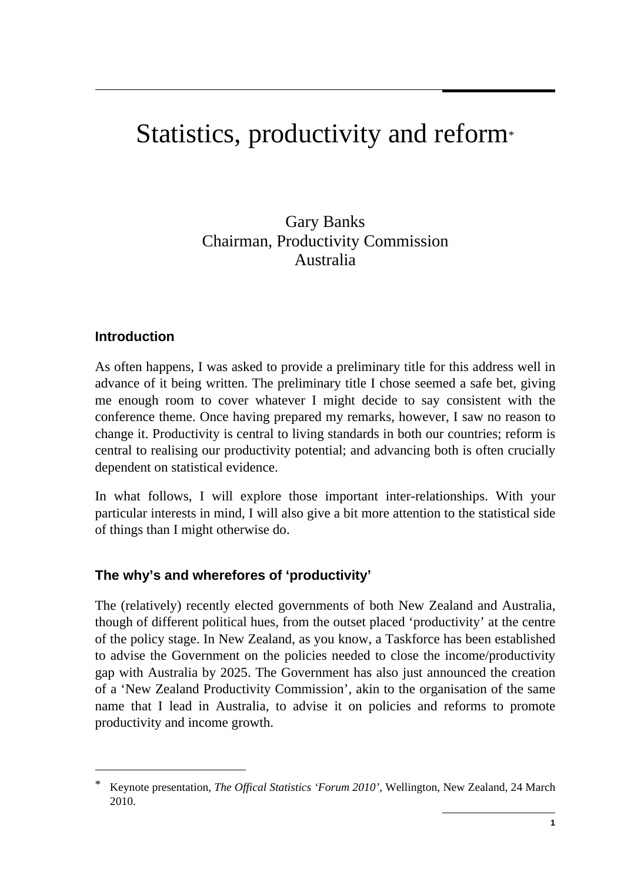# Statistics, productivity and reform<sup>\*</sup>

Gary Banks Chairman, Productivity Commission Australia

## **Introduction**

As often happens, I was asked to provide a preliminary title for this address well in advance of it being written. The preliminary title I chose seemed a safe bet, giving me enough room to cover whatever I might decide to say consistent with the conference theme. Once having prepared my remarks, however, I saw no reason to change it. Productivity is central to living standards in both our countries; reform is central to realising our productivity potential; and advancing both is often crucially dependent on statistical evidence.

In what follows, I will explore those important inter-relationships. With your particular interests in mind, I will also give a bit more attention to the statistical side of things than I might otherwise do.

## **The why's and wherefores of 'productivity'**

The (relatively) recently elected governments of both New Zealand and Australia, though of different political hues, from the outset placed 'productivity' at the centre of the policy stage. In New Zealand, as you know, a Taskforce has been established to advise the Government on the policies needed to close the income/productivity gap with Australia by 2025. The Government has also just announced the creation of a 'New Zealand Productivity Commission', akin to the organisation of the same name that I lead in Australia, to advise it on policies and reforms to promote productivity and income growth.

<sup>\*</sup> Keynote presentation, *The Offical Statistics 'Forum 2010'*, Wellington, New Zealand, 24 March 2010.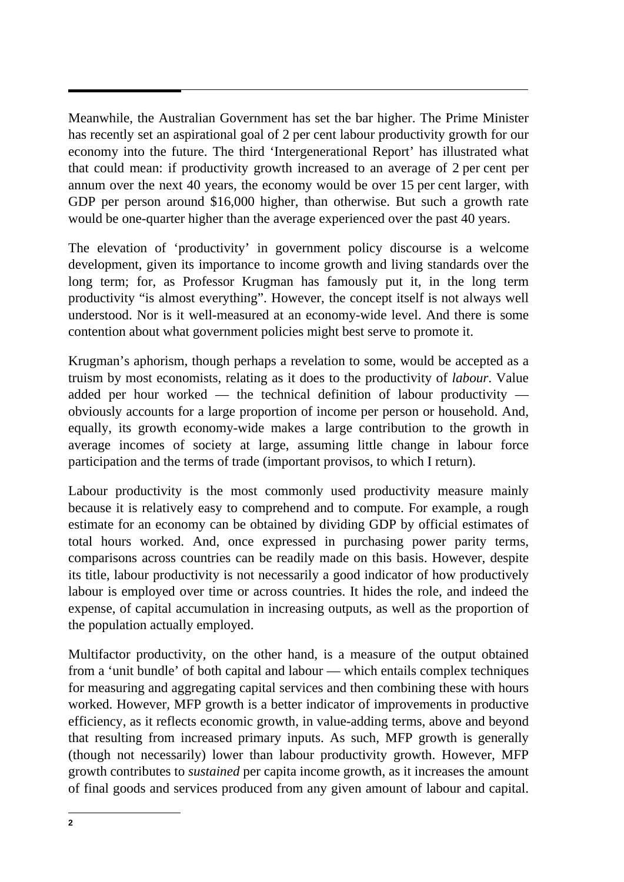Meanwhile, the Australian Government has set the bar higher. The Prime Minister has recently set an aspirational goal of 2 per cent labour productivity growth for our economy into the future. The third 'Intergenerational Report' has illustrated what that could mean: if productivity growth increased to an average of 2 per cent per annum over the next 40 years, the economy would be over 15 per cent larger, with GDP per person around \$16,000 higher, than otherwise. But such a growth rate would be one-quarter higher than the average experienced over the past 40 years.

The elevation of 'productivity' in government policy discourse is a welcome development, given its importance to income growth and living standards over the long term; for, as Professor Krugman has famously put it, in the long term productivity "is almost everything". However, the concept itself is not always well understood. Nor is it well-measured at an economy-wide level. And there is some contention about what government policies might best serve to promote it.

Krugman's aphorism, though perhaps a revelation to some, would be accepted as a truism by most economists, relating as it does to the productivity of *labour*. Value added per hour worked — the technical definition of labour productivity obviously accounts for a large proportion of income per person or household. And, equally, its growth economy-wide makes a large contribution to the growth in average incomes of society at large, assuming little change in labour force participation and the terms of trade (important provisos, to which I return).

Labour productivity is the most commonly used productivity measure mainly because it is relatively easy to comprehend and to compute. For example, a rough estimate for an economy can be obtained by dividing GDP by official estimates of total hours worked. And, once expressed in purchasing power parity terms, comparisons across countries can be readily made on this basis. However, despite its title, labour productivity is not necessarily a good indicator of how productively labour is employed over time or across countries. It hides the role, and indeed the expense, of capital accumulation in increasing outputs, as well as the proportion of the population actually employed.

Multifactor productivity, on the other hand, is a measure of the output obtained from a 'unit bundle' of both capital and labour — which entails complex techniques for measuring and aggregating capital services and then combining these with hours worked. However, MFP growth is a better indicator of improvements in productive efficiency, as it reflects economic growth, in value-adding terms, above and beyond that resulting from increased primary inputs. As such, MFP growth is generally (though not necessarily) lower than labour productivity growth. However, MFP growth contributes to *sustained* per capita income growth, as it increases the amount of final goods and services produced from any given amount of labour and capital.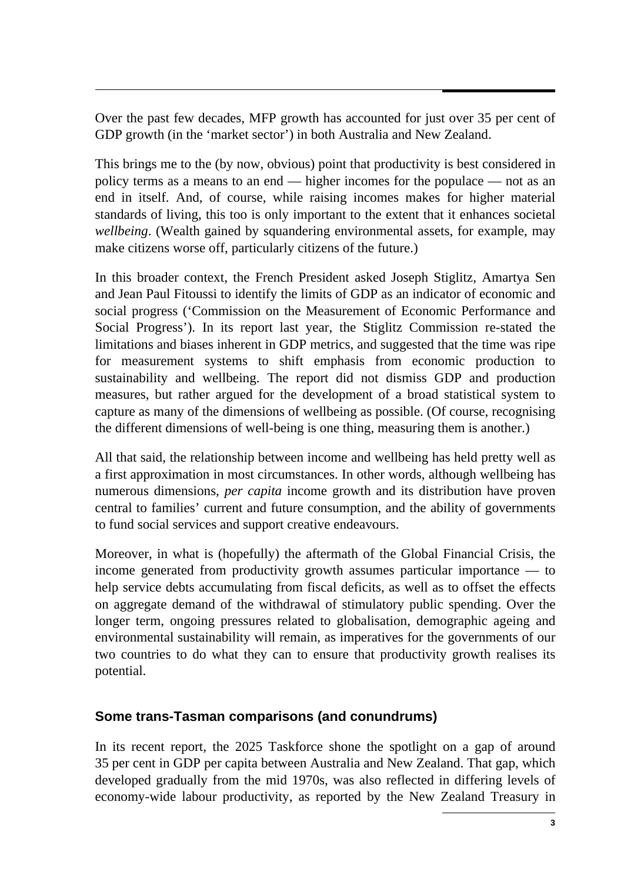Over the past few decades, MFP growth has accounted for just over 35 per cent of GDP growth (in the 'market sector') in both Australia and New Zealand.

This brings me to the (by now, obvious) point that productivity is best considered in policy terms as a means to an end — higher incomes for the populace — not as an end in itself. And, of course, while raising incomes makes for higher material standards of living, this too is only important to the extent that it enhances societal *wellbeing*. (Wealth gained by squandering environmental assets, for example, may make citizens worse off, particularly citizens of the future.)

In this broader context, the French President asked Joseph Stiglitz, Amartya Sen and Jean Paul Fitoussi to identify the limits of GDP as an indicator of economic and social progress ('Commission on the Measurement of Economic Performance and Social Progress'). In its report last year, the Stiglitz Commission re-stated the limitations and biases inherent in GDP metrics, and suggested that the time was ripe for measurement systems to shift emphasis from economic production to sustainability and wellbeing. The report did not dismiss GDP and production measures, but rather argued for the development of a broad statistical system to capture as many of the dimensions of wellbeing as possible. (Of course, recognising the different dimensions of well-being is one thing, measuring them is another.)

All that said, the relationship between income and wellbeing has held pretty well as a first approximation in most circumstances. In other words, although wellbeing has numerous dimensions, *per capita* income growth and its distribution have proven central to families' current and future consumption, and the ability of governments to fund social services and support creative endeavours.

Moreover, in what is (hopefully) the aftermath of the Global Financial Crisis, the income generated from productivity growth assumes particular importance — to help service debts accumulating from fiscal deficits, as well as to offset the effects on aggregate demand of the withdrawal of stimulatory public spending. Over the longer term, ongoing pressures related to globalisation, demographic ageing and environmental sustainability will remain, as imperatives for the governments of our two countries to do what they can to ensure that productivity growth realises its potential.

## **Some trans-Tasman comparisons (and conundrums)**

In its recent report, the 2025 Taskforce shone the spotlight on a gap of around 35 per cent in GDP per capita between Australia and New Zealand. That gap, which developed gradually from the mid 1970s, was also reflected in differing levels of economy-wide labour productivity, as reported by the New Zealand Treasury in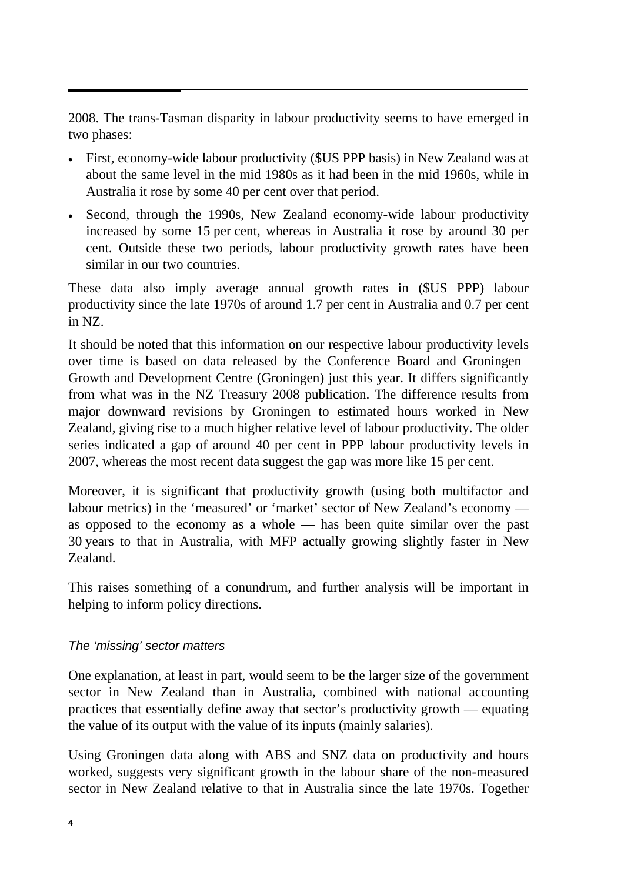2008. The trans-Tasman disparity in labour productivity seems to have emerged in two phases:

- First, economy-wide labour productivity (\$US PPP basis) in New Zealand was at about the same level in the mid 1980s as it had been in the mid 1960s, while in Australia it rose by some 40 per cent over that period.
- Second, through the 1990s, New Zealand economy-wide labour productivity increased by some 15 per cent, whereas in Australia it rose by around 30 per cent. Outside these two periods, labour productivity growth rates have been similar in our two countries.

These data also imply average annual growth rates in (\$US PPP) labour productivity since the late 1970s of around 1.7 per cent in Australia and 0.7 per cent in NZ.

It should be noted that this information on our respective labour productivity levels over time is based on data released by the Conference Board and Groningen Growth and Development Centre (Groningen) just this year. It differs significantly from what was in the NZ Treasury 2008 publication. The difference results from major downward revisions by Groningen to estimated hours worked in New Zealand, giving rise to a much higher relative level of labour productivity. The older series indicated a gap of around 40 per cent in PPP labour productivity levels in 2007, whereas the most recent data suggest the gap was more like 15 per cent.

Moreover, it is significant that productivity growth (using both multifactor and labour metrics) in the 'measured' or 'market' sector of New Zealand's economy as opposed to the economy as a whole — has been quite similar over the past 30 years to that in Australia, with MFP actually growing slightly faster in New Zealand.

This raises something of a conundrum, and further analysis will be important in helping to inform policy directions.

## *The 'missing' sector matters*

One explanation, at least in part, would seem to be the larger size of the government sector in New Zealand than in Australia, combined with national accounting practices that essentially define away that sector's productivity growth — equating the value of its output with the value of its inputs (mainly salaries).

Using Groningen data along with ABS and SNZ data on productivity and hours worked, suggests very significant growth in the labour share of the non-measured sector in New Zealand relative to that in Australia since the late 1970s. Together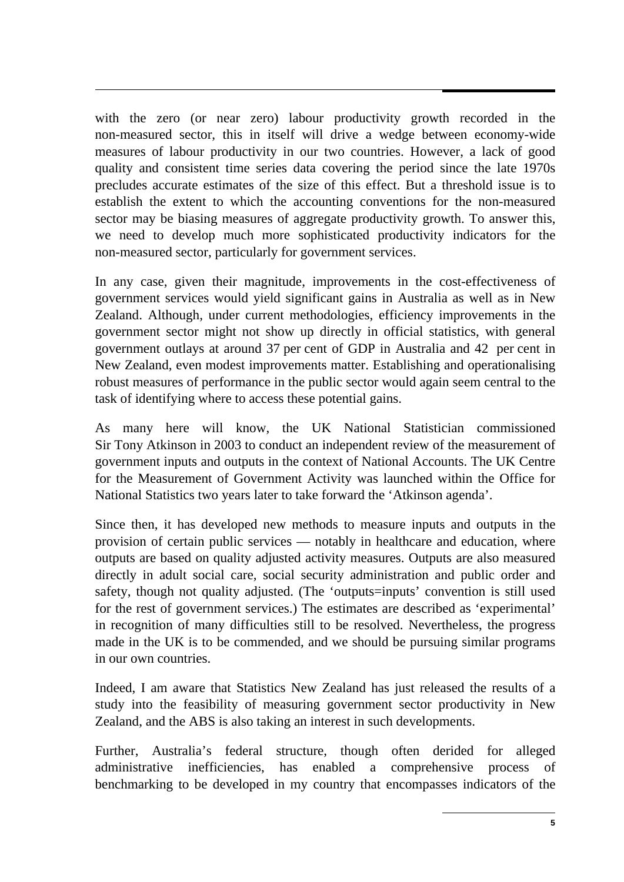with the zero (or near zero) labour productivity growth recorded in the non-measured sector, this in itself will drive a wedge between economy-wide measures of labour productivity in our two countries. However, a lack of good quality and consistent time series data covering the period since the late 1970s precludes accurate estimates of the size of this effect. But a threshold issue is to establish the extent to which the accounting conventions for the non-measured sector may be biasing measures of aggregate productivity growth. To answer this, we need to develop much more sophisticated productivity indicators for the non-measured sector, particularly for government services.

In any case, given their magnitude, improvements in the cost-effectiveness of government services would yield significant gains in Australia as well as in New Zealand. Although, under current methodologies, efficiency improvements in the government sector might not show up directly in official statistics, with general government outlays at around 37 per cent of GDP in Australia and 42 per cent in New Zealand, even modest improvements matter. Establishing and operationalising robust measures of performance in the public sector would again seem central to the task of identifying where to access these potential gains.

As many here will know, the UK National Statistician commissioned Sir Tony Atkinson in 2003 to conduct an independent review of the measurement of government inputs and outputs in the context of National Accounts. The UK Centre for the Measurement of Government Activity was launched within the Office for National Statistics two years later to take forward the 'Atkinson agenda'.

Since then, it has developed new methods to measure inputs and outputs in the provision of certain public services — notably in healthcare and education, where outputs are based on quality adjusted activity measures. Outputs are also measured directly in adult social care, social security administration and public order and safety, though not quality adjusted. (The 'outputs=inputs' convention is still used for the rest of government services.) The estimates are described as 'experimental' in recognition of many difficulties still to be resolved. Nevertheless, the progress made in the UK is to be commended, and we should be pursuing similar programs in our own countries.

Indeed, I am aware that Statistics New Zealand has just released the results of a study into the feasibility of measuring government sector productivity in New Zealand, and the ABS is also taking an interest in such developments.

Further, Australia's federal structure, though often derided for alleged administrative inefficiencies, has enabled a comprehensive process of benchmarking to be developed in my country that encompasses indicators of the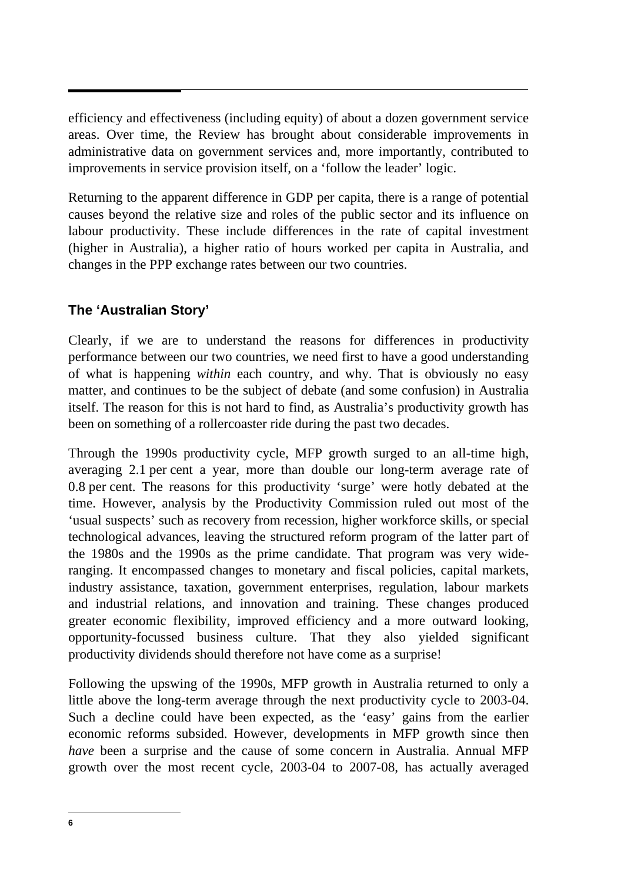efficiency and effectiveness (including equity) of about a dozen government service areas. Over time, the Review has brought about considerable improvements in administrative data on government services and, more importantly, contributed to improvements in service provision itself, on a 'follow the leader' logic.

Returning to the apparent difference in GDP per capita, there is a range of potential causes beyond the relative size and roles of the public sector and its influence on labour productivity. These include differences in the rate of capital investment (higher in Australia), a higher ratio of hours worked per capita in Australia, and changes in the PPP exchange rates between our two countries.

# **The 'Australian Story'**

Clearly, if we are to understand the reasons for differences in productivity performance between our two countries, we need first to have a good understanding of what is happening *within* each country, and why. That is obviously no easy matter, and continues to be the subject of debate (and some confusion) in Australia itself. The reason for this is not hard to find, as Australia's productivity growth has been on something of a rollercoaster ride during the past two decades.

Through the 1990s productivity cycle, MFP growth surged to an all-time high, averaging 2.1 per cent a year, more than double our long-term average rate of 0.8 per cent. The reasons for this productivity 'surge' were hotly debated at the time. However, analysis by the Productivity Commission ruled out most of the 'usual suspects' such as recovery from recession, higher workforce skills, or special technological advances, leaving the structured reform program of the latter part of the 1980s and the 1990s as the prime candidate. That program was very wideranging. It encompassed changes to monetary and fiscal policies, capital markets, industry assistance, taxation, government enterprises, regulation, labour markets and industrial relations, and innovation and training. These changes produced greater economic flexibility, improved efficiency and a more outward looking, opportunity-focussed business culture. That they also yielded significant productivity dividends should therefore not have come as a surprise!

Following the upswing of the 1990s, MFP growth in Australia returned to only a little above the long-term average through the next productivity cycle to 2003-04. Such a decline could have been expected, as the 'easy' gains from the earlier economic reforms subsided. However, developments in MFP growth since then *have* been a surprise and the cause of some concern in Australia. Annual MFP growth over the most recent cycle, 2003-04 to 2007-08, has actually averaged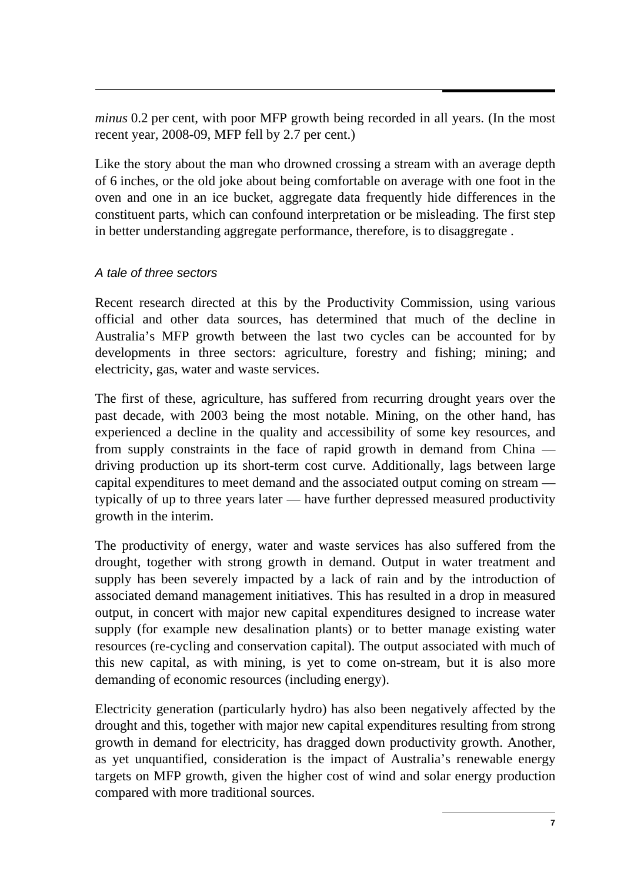*minus* 0.2 per cent, with poor MFP growth being recorded in all years. (In the most recent year, 2008-09, MFP fell by 2.7 per cent.)

Like the story about the man who drowned crossing a stream with an average depth of 6 inches, or the old joke about being comfortable on average with one foot in the oven and one in an ice bucket, aggregate data frequently hide differences in the constituent parts, which can confound interpretation or be misleading. The first step in better understanding aggregate performance, therefore, is to disaggregate .

#### *A tale of three sectors*

Recent research directed at this by the Productivity Commission, using various official and other data sources, has determined that much of the decline in Australia's MFP growth between the last two cycles can be accounted for by developments in three sectors: agriculture, forestry and fishing; mining; and electricity, gas, water and waste services.

The first of these, agriculture, has suffered from recurring drought years over the past decade, with 2003 being the most notable. Mining, on the other hand, has experienced a decline in the quality and accessibility of some key resources, and from supply constraints in the face of rapid growth in demand from China driving production up its short-term cost curve. Additionally, lags between large capital expenditures to meet demand and the associated output coming on stream typically of up to three years later — have further depressed measured productivity growth in the interim.

The productivity of energy, water and waste services has also suffered from the drought, together with strong growth in demand. Output in water treatment and supply has been severely impacted by a lack of rain and by the introduction of associated demand management initiatives. This has resulted in a drop in measured output, in concert with major new capital expenditures designed to increase water supply (for example new desalination plants) or to better manage existing water resources (re-cycling and conservation capital). The output associated with much of this new capital, as with mining, is yet to come on-stream, but it is also more demanding of economic resources (including energy).

Electricity generation (particularly hydro) has also been negatively affected by the drought and this, together with major new capital expenditures resulting from strong growth in demand for electricity, has dragged down productivity growth. Another, as yet unquantified, consideration is the impact of Australia's renewable energy targets on MFP growth, given the higher cost of wind and solar energy production compared with more traditional sources.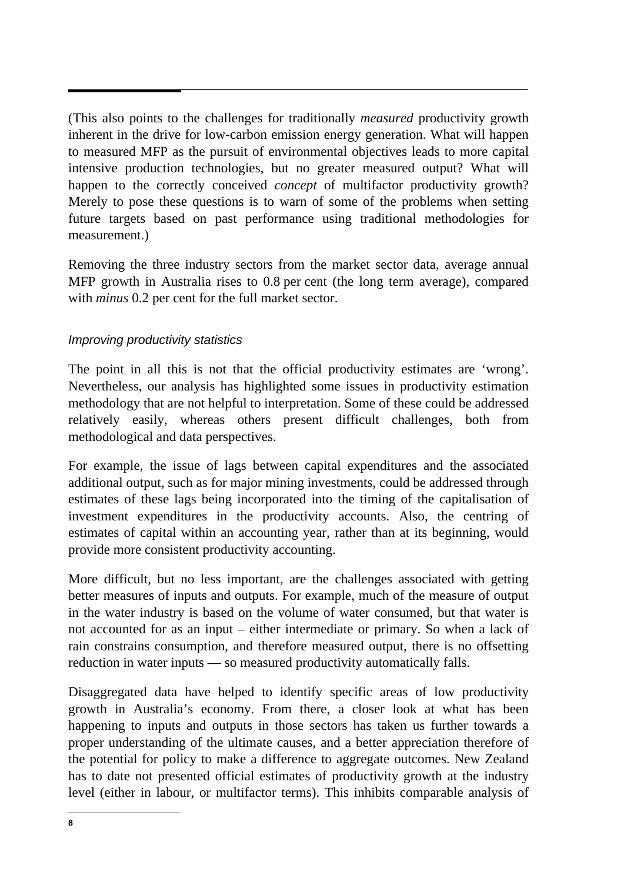(This also points to the challenges for traditionally *measured* productivity growth inherent in the drive for low-carbon emission energy generation. What will happen to measured MFP as the pursuit of environmental objectives leads to more capital intensive production technologies, but no greater measured output? What will happen to the correctly conceived *concept* of multifactor productivity growth? Merely to pose these questions is to warn of some of the problems when setting future targets based on past performance using traditional methodologies for measurement.)

Removing the three industry sectors from the market sector data, average annual MFP growth in Australia rises to 0.8 per cent (the long term average), compared with *minus* 0.2 per cent for the full market sector.

#### *Improving productivity statistics*

The point in all this is not that the official productivity estimates are 'wrong'. Nevertheless, our analysis has highlighted some issues in productivity estimation methodology that are not helpful to interpretation. Some of these could be addressed relatively easily, whereas others present difficult challenges, both from methodological and data perspectives.

For example, the issue of lags between capital expenditures and the associated additional output, such as for major mining investments, could be addressed through estimates of these lags being incorporated into the timing of the capitalisation of investment expenditures in the productivity accounts. Also, the centring of estimates of capital within an accounting year, rather than at its beginning, would provide more consistent productivity accounting.

More difficult, but no less important, are the challenges associated with getting better measures of inputs and outputs. For example, much of the measure of output in the water industry is based on the volume of water consumed, but that water is not accounted for as an input – either intermediate or primary. So when a lack of rain constrains consumption, and therefore measured output, there is no offsetting reduction in water inputs — so measured productivity automatically falls.

Disaggregated data have helped to identify specific areas of low productivity growth in Australia's economy. From there, a closer look at what has been happening to inputs and outputs in those sectors has taken us further towards a proper understanding of the ultimate causes, and a better appreciation therefore of the potential for policy to make a difference to aggregate outcomes. New Zealand has to date not presented official estimates of productivity growth at the industry level (either in labour, or multifactor terms). This inhibits comparable analysis of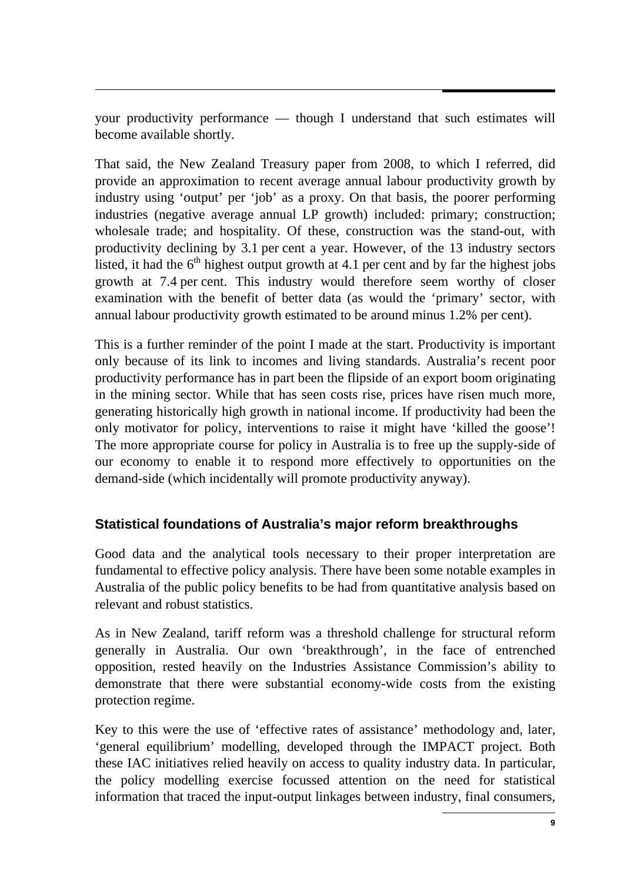your productivity performance — though I understand that such estimates will become available shortly.

That said, the New Zealand Treasury paper from 2008, to which I referred, did provide an approximation to recent average annual labour productivity growth by industry using 'output' per 'job' as a proxy. On that basis, the poorer performing industries (negative average annual LP growth) included: primary; construction; wholesale trade; and hospitality. Of these, construction was the stand-out, with productivity declining by 3.1 per cent a year. However, of the 13 industry sectors listed, it had the  $6<sup>th</sup>$  highest output growth at 4.1 per cent and by far the highest jobs growth at 7.4 per cent. This industry would therefore seem worthy of closer examination with the benefit of better data (as would the 'primary' sector, with annual labour productivity growth estimated to be around minus 1.2% per cent).

This is a further reminder of the point I made at the start. Productivity is important only because of its link to incomes and living standards. Australia's recent poor productivity performance has in part been the flipside of an export boom originating in the mining sector. While that has seen costs rise, prices have risen much more, generating historically high growth in national income. If productivity had been the only motivator for policy, interventions to raise it might have 'killed the goose'! The more appropriate course for policy in Australia is to free up the supply-side of our economy to enable it to respond more effectively to opportunities on the demand-side (which incidentally will promote productivity anyway).

# **Statistical foundations of Australia's major reform breakthroughs**

Good data and the analytical tools necessary to their proper interpretation are fundamental to effective policy analysis. There have been some notable examples in Australia of the public policy benefits to be had from quantitative analysis based on relevant and robust statistics.

As in New Zealand, tariff reform was a threshold challenge for structural reform generally in Australia. Our own 'breakthrough', in the face of entrenched opposition, rested heavily on the Industries Assistance Commission's ability to demonstrate that there were substantial economy-wide costs from the existing protection regime.

Key to this were the use of 'effective rates of assistance' methodology and, later, 'general equilibrium' modelling, developed through the IMPACT project. Both these IAC initiatives relied heavily on access to quality industry data. In particular, the policy modelling exercise focussed attention on the need for statistical information that traced the input-output linkages between industry, final consumers,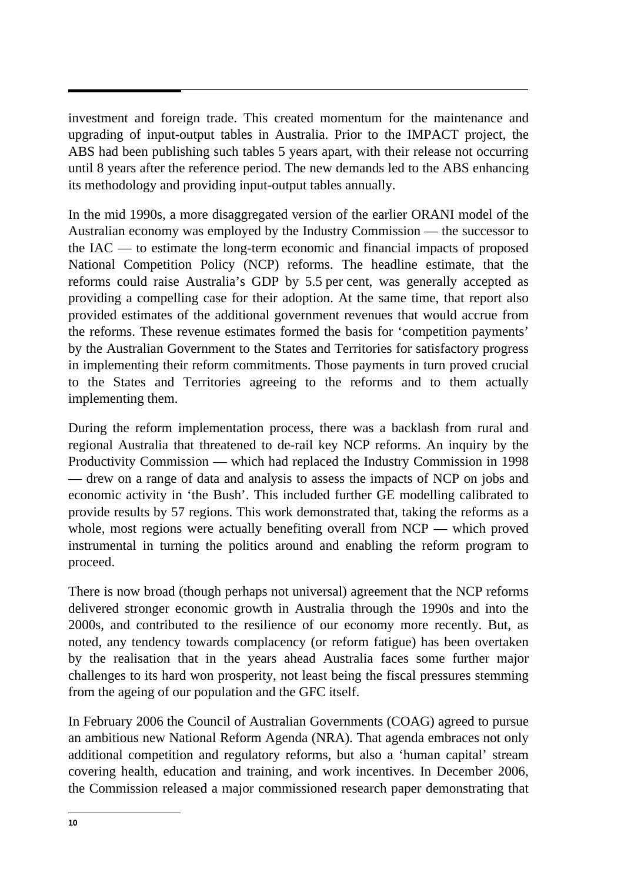investment and foreign trade. This created momentum for the maintenance and upgrading of input-output tables in Australia. Prior to the IMPACT project, the ABS had been publishing such tables 5 years apart, with their release not occurring until 8 years after the reference period. The new demands led to the ABS enhancing its methodology and providing input-output tables annually.

In the mid 1990s, a more disaggregated version of the earlier ORANI model of the Australian economy was employed by the Industry Commission — the successor to the IAC — to estimate the long-term economic and financial impacts of proposed National Competition Policy (NCP) reforms. The headline estimate, that the reforms could raise Australia's GDP by 5.5 per cent, was generally accepted as providing a compelling case for their adoption. At the same time, that report also provided estimates of the additional government revenues that would accrue from the reforms. These revenue estimates formed the basis for 'competition payments' by the Australian Government to the States and Territories for satisfactory progress in implementing their reform commitments. Those payments in turn proved crucial to the States and Territories agreeing to the reforms and to them actually implementing them.

During the reform implementation process, there was a backlash from rural and regional Australia that threatened to de-rail key NCP reforms. An inquiry by the Productivity Commission — which had replaced the Industry Commission in 1998 — drew on a range of data and analysis to assess the impacts of NCP on jobs and economic activity in 'the Bush'. This included further GE modelling calibrated to provide results by 57 regions. This work demonstrated that, taking the reforms as a whole, most regions were actually benefiting overall from NCP — which proved instrumental in turning the politics around and enabling the reform program to proceed.

There is now broad (though perhaps not universal) agreement that the NCP reforms delivered stronger economic growth in Australia through the 1990s and into the 2000s, and contributed to the resilience of our economy more recently. But, as noted, any tendency towards complacency (or reform fatigue) has been overtaken by the realisation that in the years ahead Australia faces some further major challenges to its hard won prosperity, not least being the fiscal pressures stemming from the ageing of our population and the GFC itself.

In February 2006 the Council of Australian Governments (COAG) agreed to pursue an ambitious new National Reform Agenda (NRA). That agenda embraces not only additional competition and regulatory reforms, but also a 'human capital' stream covering health, education and training, and work incentives. In December 2006, the Commission released a major commissioned research paper demonstrating that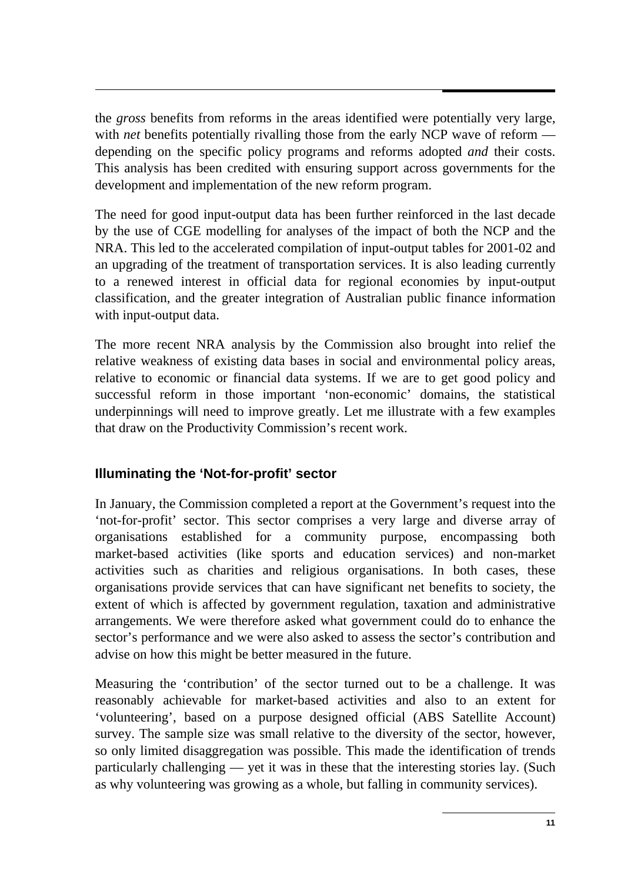the *gross* benefits from reforms in the areas identified were potentially very large, with *net* benefits potentially rivalling those from the early NCP wave of reform depending on the specific policy programs and reforms adopted *and* their costs. This analysis has been credited with ensuring support across governments for the development and implementation of the new reform program.

The need for good input-output data has been further reinforced in the last decade by the use of CGE modelling for analyses of the impact of both the NCP and the NRA. This led to the accelerated compilation of input-output tables for 2001-02 and an upgrading of the treatment of transportation services. It is also leading currently to a renewed interest in official data for regional economies by input-output classification, and the greater integration of Australian public finance information with input-output data.

The more recent NRA analysis by the Commission also brought into relief the relative weakness of existing data bases in social and environmental policy areas, relative to economic or financial data systems. If we are to get good policy and successful reform in those important 'non-economic' domains, the statistical underpinnings will need to improve greatly. Let me illustrate with a few examples that draw on the Productivity Commission's recent work.

# **Illuminating the 'Not-for-profit' sector**

In January, the Commission completed a report at the Government's request into the 'not-for-profit' sector. This sector comprises a very large and diverse array of organisations established for a community purpose, encompassing both market-based activities (like sports and education services) and non-market activities such as charities and religious organisations. In both cases, these organisations provide services that can have significant net benefits to society, the extent of which is affected by government regulation, taxation and administrative arrangements. We were therefore asked what government could do to enhance the sector's performance and we were also asked to assess the sector's contribution and advise on how this might be better measured in the future.

Measuring the 'contribution' of the sector turned out to be a challenge. It was reasonably achievable for market-based activities and also to an extent for 'volunteering', based on a purpose designed official (ABS Satellite Account) survey. The sample size was small relative to the diversity of the sector, however, so only limited disaggregation was possible. This made the identification of trends particularly challenging — yet it was in these that the interesting stories lay. (Such as why volunteering was growing as a whole, but falling in community services).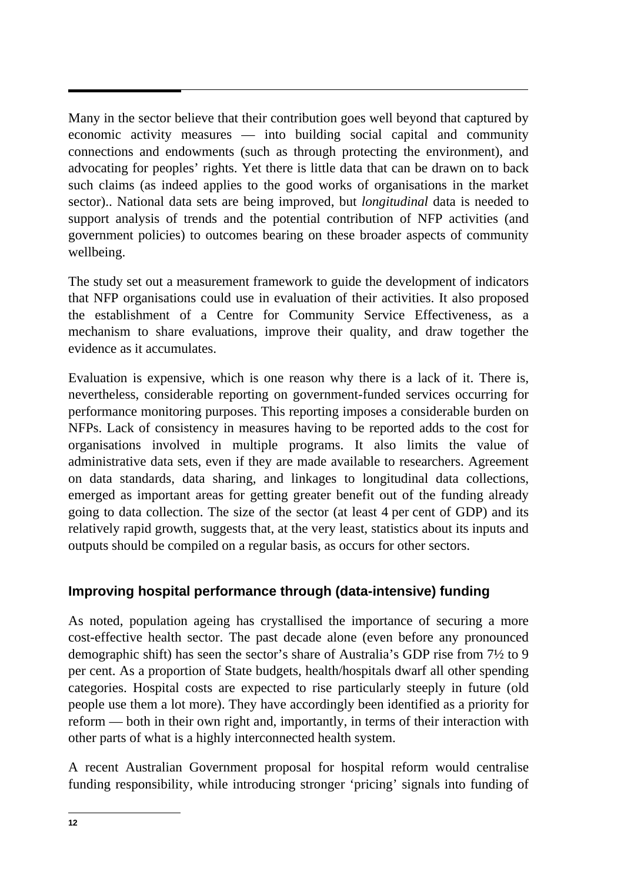Many in the sector believe that their contribution goes well beyond that captured by economic activity measures — into building social capital and community connections and endowments (such as through protecting the environment), and advocating for peoples' rights. Yet there is little data that can be drawn on to back such claims (as indeed applies to the good works of organisations in the market sector).. National data sets are being improved, but *longitudinal* data is needed to support analysis of trends and the potential contribution of NFP activities (and government policies) to outcomes bearing on these broader aspects of community wellbeing.

The study set out a measurement framework to guide the development of indicators that NFP organisations could use in evaluation of their activities. It also proposed the establishment of a Centre for Community Service Effectiveness, as a mechanism to share evaluations, improve their quality, and draw together the evidence as it accumulates.

Evaluation is expensive, which is one reason why there is a lack of it. There is, nevertheless, considerable reporting on government-funded services occurring for performance monitoring purposes. This reporting imposes a considerable burden on NFPs. Lack of consistency in measures having to be reported adds to the cost for organisations involved in multiple programs. It also limits the value of administrative data sets, even if they are made available to researchers. Agreement on data standards, data sharing, and linkages to longitudinal data collections, emerged as important areas for getting greater benefit out of the funding already going to data collection. The size of the sector (at least 4 per cent of GDP) and its relatively rapid growth, suggests that, at the very least, statistics about its inputs and outputs should be compiled on a regular basis, as occurs for other sectors.

# **Improving hospital performance through (data-intensive) funding**

As noted, population ageing has crystallised the importance of securing a more cost-effective health sector. The past decade alone (even before any pronounced demographic shift) has seen the sector's share of Australia's GDP rise from 7½ to 9 per cent. As a proportion of State budgets, health/hospitals dwarf all other spending categories. Hospital costs are expected to rise particularly steeply in future (old people use them a lot more). They have accordingly been identified as a priority for reform — both in their own right and, importantly, in terms of their interaction with other parts of what is a highly interconnected health system.

A recent Australian Government proposal for hospital reform would centralise funding responsibility, while introducing stronger 'pricing' signals into funding of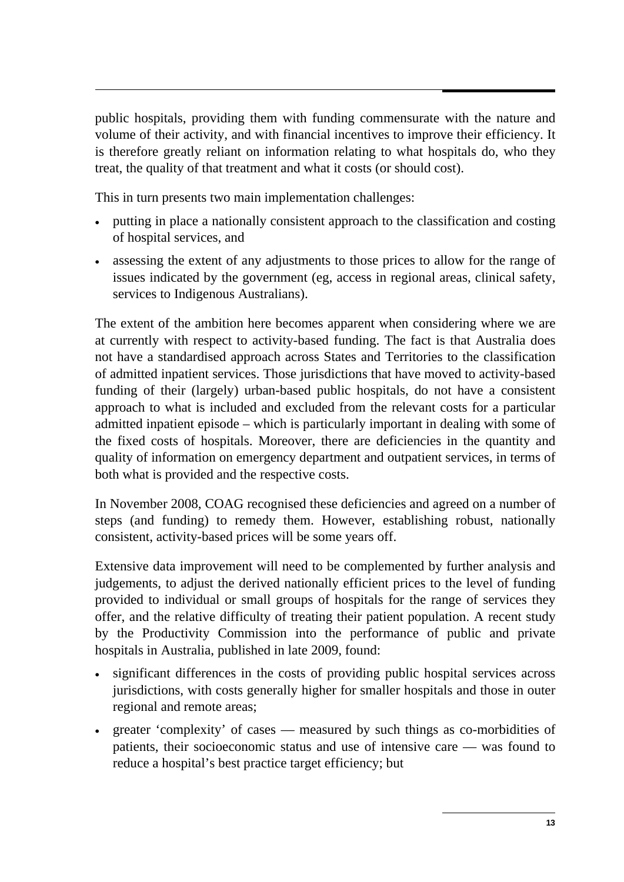public hospitals, providing them with funding commensurate with the nature and volume of their activity, and with financial incentives to improve their efficiency. It is therefore greatly reliant on information relating to what hospitals do, who they treat, the quality of that treatment and what it costs (or should cost).

This in turn presents two main implementation challenges:

- putting in place a nationally consistent approach to the classification and costing of hospital services, and
- assessing the extent of any adjustments to those prices to allow for the range of issues indicated by the government (eg, access in regional areas, clinical safety, services to Indigenous Australians).

The extent of the ambition here becomes apparent when considering where we are at currently with respect to activity-based funding. The fact is that Australia does not have a standardised approach across States and Territories to the classification of admitted inpatient services. Those jurisdictions that have moved to activity-based funding of their (largely) urban-based public hospitals, do not have a consistent approach to what is included and excluded from the relevant costs for a particular admitted inpatient episode – which is particularly important in dealing with some of the fixed costs of hospitals. Moreover, there are deficiencies in the quantity and quality of information on emergency department and outpatient services, in terms of both what is provided and the respective costs.

In November 2008, COAG recognised these deficiencies and agreed on a number of steps (and funding) to remedy them. However, establishing robust, nationally consistent, activity-based prices will be some years off.

Extensive data improvement will need to be complemented by further analysis and judgements, to adjust the derived nationally efficient prices to the level of funding provided to individual or small groups of hospitals for the range of services they offer, and the relative difficulty of treating their patient population. A recent study by the Productivity Commission into the performance of public and private hospitals in Australia, published in late 2009, found:

- significant differences in the costs of providing public hospital services across jurisdictions, with costs generally higher for smaller hospitals and those in outer regional and remote areas;
- greater 'complexity' of cases measured by such things as co-morbidities of patients, their socioeconomic status and use of intensive care — was found to reduce a hospital's best practice target efficiency; but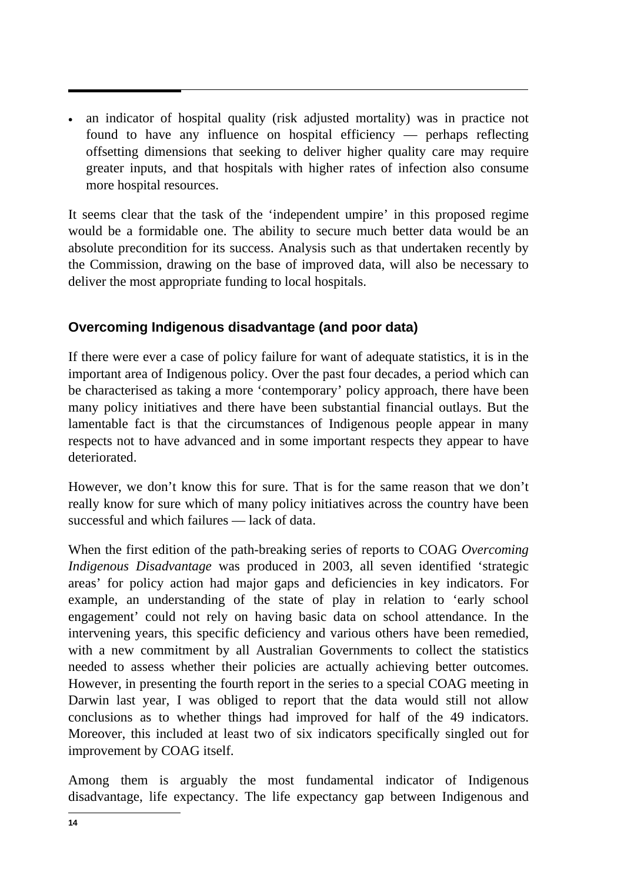• an indicator of hospital quality (risk adjusted mortality) was in practice not found to have any influence on hospital efficiency — perhaps reflecting offsetting dimensions that seeking to deliver higher quality care may require greater inputs, and that hospitals with higher rates of infection also consume more hospital resources.

It seems clear that the task of the 'independent umpire' in this proposed regime would be a formidable one. The ability to secure much better data would be an absolute precondition for its success. Analysis such as that undertaken recently by the Commission, drawing on the base of improved data, will also be necessary to deliver the most appropriate funding to local hospitals.

# **Overcoming Indigenous disadvantage (and poor data)**

If there were ever a case of policy failure for want of adequate statistics, it is in the important area of Indigenous policy. Over the past four decades, a period which can be characterised as taking a more 'contemporary' policy approach, there have been many policy initiatives and there have been substantial financial outlays. But the lamentable fact is that the circumstances of Indigenous people appear in many respects not to have advanced and in some important respects they appear to have deteriorated.

However, we don't know this for sure. That is for the same reason that we don't really know for sure which of many policy initiatives across the country have been successful and which failures — lack of data.

When the first edition of the path-breaking series of reports to COAG *Overcoming Indigenous Disadvantage* was produced in 2003, all seven identified 'strategic areas' for policy action had major gaps and deficiencies in key indicators. For example, an understanding of the state of play in relation to 'early school engagement' could not rely on having basic data on school attendance. In the intervening years, this specific deficiency and various others have been remedied, with a new commitment by all Australian Governments to collect the statistics needed to assess whether their policies are actually achieving better outcomes. However, in presenting the fourth report in the series to a special COAG meeting in Darwin last year, I was obliged to report that the data would still not allow conclusions as to whether things had improved for half of the 49 indicators. Moreover, this included at least two of six indicators specifically singled out for improvement by COAG itself.

Among them is arguably the most fundamental indicator of Indigenous disadvantage, life expectancy. The life expectancy gap between Indigenous and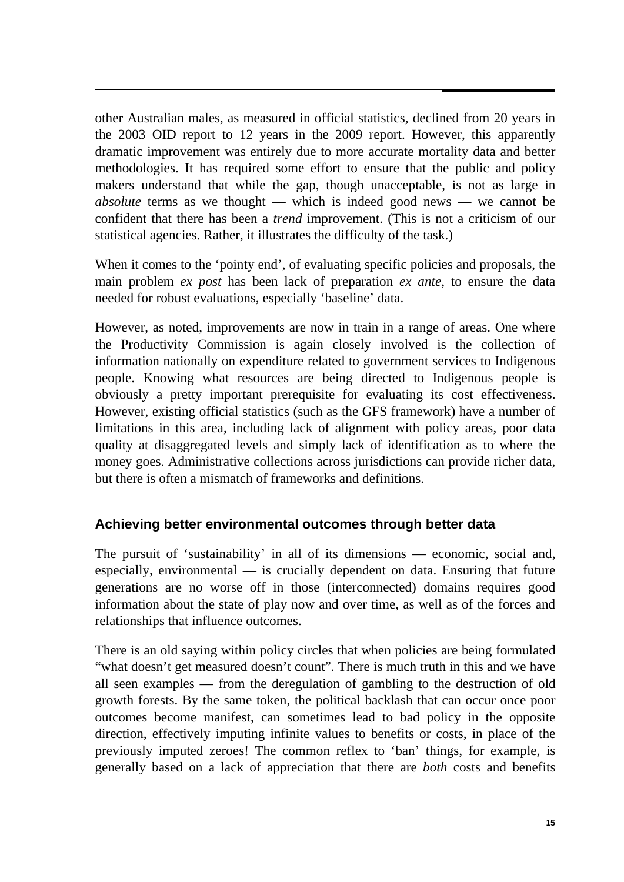other Australian males, as measured in official statistics, declined from 20 years in the 2003 OID report to 12 years in the 2009 report. However, this apparently dramatic improvement was entirely due to more accurate mortality data and better methodologies. It has required some effort to ensure that the public and policy makers understand that while the gap, though unacceptable, is not as large in *absolute* terms as we thought — which is indeed good news — we cannot be confident that there has been a *trend* improvement. (This is not a criticism of our statistical agencies. Rather, it illustrates the difficulty of the task.)

When it comes to the 'pointy end', of evaluating specific policies and proposals, the main problem *ex post* has been lack of preparation *ex ante*, to ensure the data needed for robust evaluations, especially 'baseline' data.

However, as noted, improvements are now in train in a range of areas. One where the Productivity Commission is again closely involved is the collection of information nationally on expenditure related to government services to Indigenous people. Knowing what resources are being directed to Indigenous people is obviously a pretty important prerequisite for evaluating its cost effectiveness. However, existing official statistics (such as the GFS framework) have a number of limitations in this area, including lack of alignment with policy areas, poor data quality at disaggregated levels and simply lack of identification as to where the money goes. Administrative collections across jurisdictions can provide richer data, but there is often a mismatch of frameworks and definitions.

## **Achieving better environmental outcomes through better data**

The pursuit of 'sustainability' in all of its dimensions — economic, social and, especially, environmental — is crucially dependent on data. Ensuring that future generations are no worse off in those (interconnected) domains requires good information about the state of play now and over time, as well as of the forces and relationships that influence outcomes.

There is an old saying within policy circles that when policies are being formulated "what doesn't get measured doesn't count". There is much truth in this and we have all seen examples — from the deregulation of gambling to the destruction of old growth forests. By the same token, the political backlash that can occur once poor outcomes become manifest, can sometimes lead to bad policy in the opposite direction, effectively imputing infinite values to benefits or costs, in place of the previously imputed zeroes! The common reflex to 'ban' things, for example, is generally based on a lack of appreciation that there are *both* costs and benefits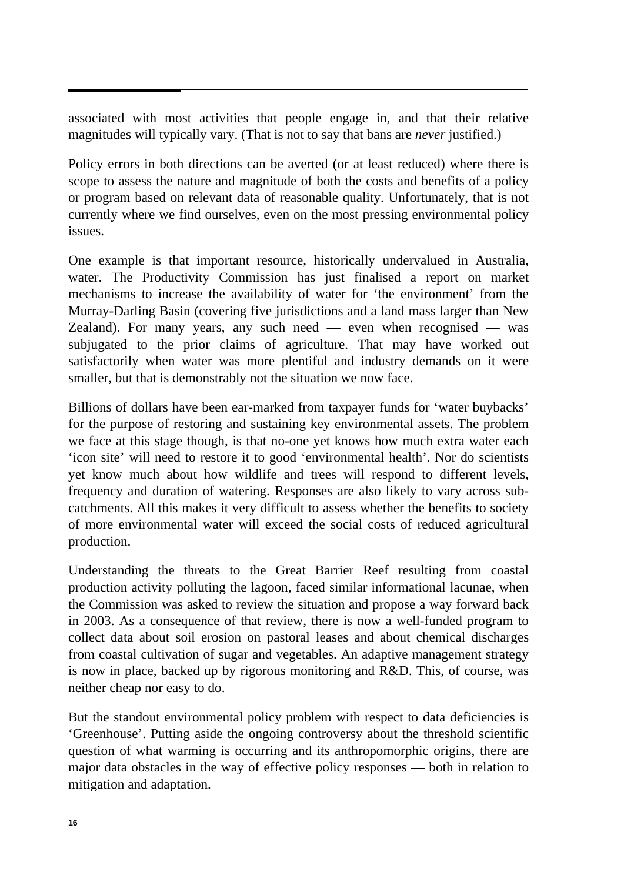associated with most activities that people engage in, and that their relative magnitudes will typically vary. (That is not to say that bans are *never* justified.)

Policy errors in both directions can be averted (or at least reduced) where there is scope to assess the nature and magnitude of both the costs and benefits of a policy or program based on relevant data of reasonable quality. Unfortunately, that is not currently where we find ourselves, even on the most pressing environmental policy issues.

One example is that important resource, historically undervalued in Australia, water. The Productivity Commission has just finalised a report on market mechanisms to increase the availability of water for 'the environment' from the Murray-Darling Basin (covering five jurisdictions and a land mass larger than New Zealand). For many years, any such need — even when recognised — was subjugated to the prior claims of agriculture. That may have worked out satisfactorily when water was more plentiful and industry demands on it were smaller, but that is demonstrably not the situation we now face.

Billions of dollars have been ear-marked from taxpayer funds for 'water buybacks' for the purpose of restoring and sustaining key environmental assets. The problem we face at this stage though, is that no-one yet knows how much extra water each 'icon site' will need to restore it to good 'environmental health'. Nor do scientists yet know much about how wildlife and trees will respond to different levels, frequency and duration of watering. Responses are also likely to vary across subcatchments. All this makes it very difficult to assess whether the benefits to society of more environmental water will exceed the social costs of reduced agricultural production.

Understanding the threats to the Great Barrier Reef resulting from coastal production activity polluting the lagoon, faced similar informational lacunae, when the Commission was asked to review the situation and propose a way forward back in 2003. As a consequence of that review, there is now a well-funded program to collect data about soil erosion on pastoral leases and about chemical discharges from coastal cultivation of sugar and vegetables. An adaptive management strategy is now in place, backed up by rigorous monitoring and R&D. This, of course, was neither cheap nor easy to do.

But the standout environmental policy problem with respect to data deficiencies is 'Greenhouse'. Putting aside the ongoing controversy about the threshold scientific question of what warming is occurring and its anthropomorphic origins, there are major data obstacles in the way of effective policy responses — both in relation to mitigation and adaptation.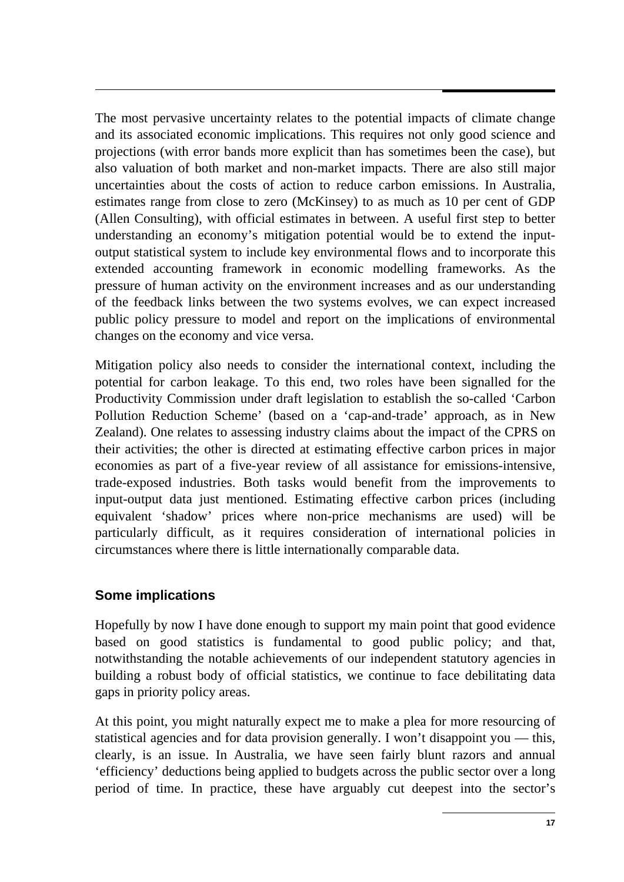The most pervasive uncertainty relates to the potential impacts of climate change and its associated economic implications. This requires not only good science and projections (with error bands more explicit than has sometimes been the case), but also valuation of both market and non-market impacts. There are also still major uncertainties about the costs of action to reduce carbon emissions. In Australia, estimates range from close to zero (McKinsey) to as much as 10 per cent of GDP (Allen Consulting), with official estimates in between. A useful first step to better understanding an economy's mitigation potential would be to extend the inputoutput statistical system to include key environmental flows and to incorporate this extended accounting framework in economic modelling frameworks. As the pressure of human activity on the environment increases and as our understanding of the feedback links between the two systems evolves, we can expect increased public policy pressure to model and report on the implications of environmental changes on the economy and vice versa.

Mitigation policy also needs to consider the international context, including the potential for carbon leakage. To this end, two roles have been signalled for the Productivity Commission under draft legislation to establish the so-called 'Carbon Pollution Reduction Scheme' (based on a 'cap-and-trade' approach, as in New Zealand). One relates to assessing industry claims about the impact of the CPRS on their activities; the other is directed at estimating effective carbon prices in major economies as part of a five-year review of all assistance for emissions-intensive, trade-exposed industries. Both tasks would benefit from the improvements to input-output data just mentioned. Estimating effective carbon prices (including equivalent 'shadow' prices where non-price mechanisms are used) will be particularly difficult, as it requires consideration of international policies in circumstances where there is little internationally comparable data.

## **Some implications**

Hopefully by now I have done enough to support my main point that good evidence based on good statistics is fundamental to good public policy; and that, notwithstanding the notable achievements of our independent statutory agencies in building a robust body of official statistics, we continue to face debilitating data gaps in priority policy areas.

At this point, you might naturally expect me to make a plea for more resourcing of statistical agencies and for data provision generally. I won't disappoint you — this, clearly, is an issue. In Australia, we have seen fairly blunt razors and annual 'efficiency' deductions being applied to budgets across the public sector over a long period of time. In practice, these have arguably cut deepest into the sector's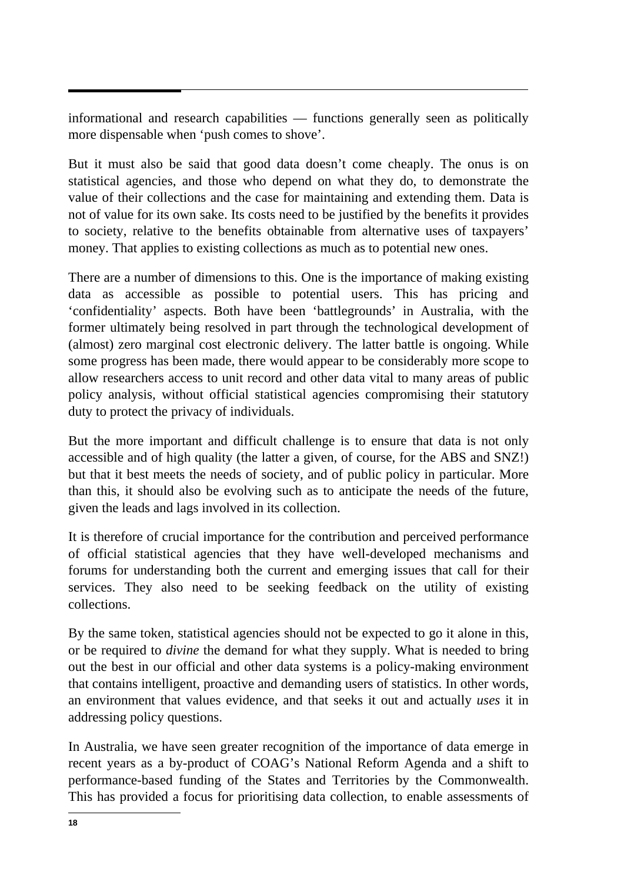informational and research capabilities — functions generally seen as politically more dispensable when 'push comes to shove'.

But it must also be said that good data doesn't come cheaply. The onus is on statistical agencies, and those who depend on what they do, to demonstrate the value of their collections and the case for maintaining and extending them. Data is not of value for its own sake. Its costs need to be justified by the benefits it provides to society, relative to the benefits obtainable from alternative uses of taxpayers' money. That applies to existing collections as much as to potential new ones.

There are a number of dimensions to this. One is the importance of making existing data as accessible as possible to potential users. This has pricing and 'confidentiality' aspects. Both have been 'battlegrounds' in Australia, with the former ultimately being resolved in part through the technological development of (almost) zero marginal cost electronic delivery. The latter battle is ongoing. While some progress has been made, there would appear to be considerably more scope to allow researchers access to unit record and other data vital to many areas of public policy analysis, without official statistical agencies compromising their statutory duty to protect the privacy of individuals.

But the more important and difficult challenge is to ensure that data is not only accessible and of high quality (the latter a given, of course, for the ABS and SNZ!) but that it best meets the needs of society, and of public policy in particular. More than this, it should also be evolving such as to anticipate the needs of the future, given the leads and lags involved in its collection.

It is therefore of crucial importance for the contribution and perceived performance of official statistical agencies that they have well-developed mechanisms and forums for understanding both the current and emerging issues that call for their services. They also need to be seeking feedback on the utility of existing collections.

By the same token, statistical agencies should not be expected to go it alone in this, or be required to *divine* the demand for what they supply. What is needed to bring out the best in our official and other data systems is a policy-making environment that contains intelligent, proactive and demanding users of statistics. In other words, an environment that values evidence, and that seeks it out and actually *uses* it in addressing policy questions.

In Australia, we have seen greater recognition of the importance of data emerge in recent years as a by-product of COAG's National Reform Agenda and a shift to performance-based funding of the States and Territories by the Commonwealth. This has provided a focus for prioritising data collection, to enable assessments of